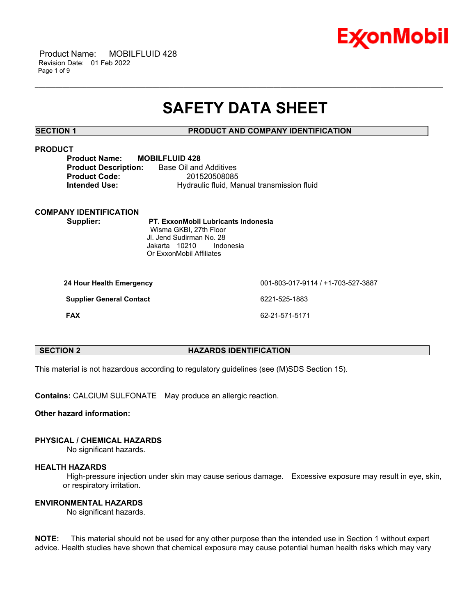

 Product Name: MOBILFLUID 428 Revision Date: 01 Feb 2022 Page 1 of 9

# **SAFETY DATA SHEET**

\_\_\_\_\_\_\_\_\_\_\_\_\_\_\_\_\_\_\_\_\_\_\_\_\_\_\_\_\_\_\_\_\_\_\_\_\_\_\_\_\_\_\_\_\_\_\_\_\_\_\_\_\_\_\_\_\_\_\_\_\_\_\_\_\_\_\_\_\_\_\_\_\_\_\_\_\_\_\_\_\_\_\_\_\_\_\_\_\_\_\_\_\_\_\_\_\_\_\_\_\_\_\_\_\_\_\_\_\_\_\_\_\_\_\_\_\_\_

# **SECTION 1 PRODUCT AND COMPANY IDENTIFICATION**

# **PRODUCT**

| <b>Product Name:</b>        | <b>MOBILFLUID 428</b>                      |
|-----------------------------|--------------------------------------------|
| <b>Product Description:</b> | Base Oil and Additives                     |
| <b>Product Code:</b>        | 201520508085                               |
| Intended Use:               | Hydraulic fluid, Manual transmission fluid |

#### **COMPANY IDENTIFICATION**

**Supplier: PT. ExxonMobil Lubricants Indonesia** Wisma GKBI, 27th Floor Jl. Jend Sudirman No. 28 Jakarta 10210 Indonesia Or ExxonMobil Affiliates

| 24 Hour Health Emergency        | 001-803-017-9114 / +1-703-527-3887 |
|---------------------------------|------------------------------------|
| <b>Supplier General Contact</b> | 6221-525-1883                      |
| <b>FAX</b>                      | 62-21-571-5171                     |

# **SECTION 2 HAZARDS IDENTIFICATION**

This material is not hazardous according to regulatory guidelines (see (M)SDS Section 15).

**Contains:** CALCIUM SULFONATE May produce an allergic reaction.

**Other hazard information:**

### **PHYSICAL / CHEMICAL HAZARDS**

No significant hazards.

# **HEALTH HAZARDS**

High-pressure injection under skin may cause serious damage. Excessive exposure may result in eye, skin, or respiratory irritation.

### **ENVIRONMENTAL HAZARDS**

No significant hazards.

**NOTE:** This material should not be used for any other purpose than the intended use in Section 1 without expert advice. Health studies have shown that chemical exposure may cause potential human health risks which may vary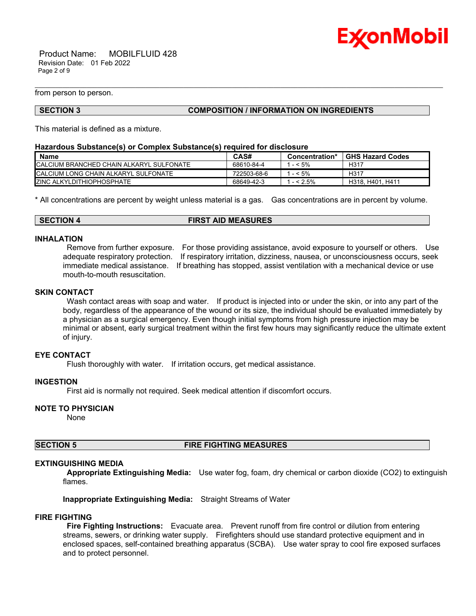

 Product Name: MOBILFLUID 428 Revision Date: 01 Feb 2022 Page 2 of 9

from person to person.

#### **SECTION 3 COMPOSITION / INFORMATION ON INGREDIENTS**

\_\_\_\_\_\_\_\_\_\_\_\_\_\_\_\_\_\_\_\_\_\_\_\_\_\_\_\_\_\_\_\_\_\_\_\_\_\_\_\_\_\_\_\_\_\_\_\_\_\_\_\_\_\_\_\_\_\_\_\_\_\_\_\_\_\_\_\_\_\_\_\_\_\_\_\_\_\_\_\_\_\_\_\_\_\_\_\_\_\_\_\_\_\_\_\_\_\_\_\_\_\_\_\_\_\_\_\_\_\_\_\_\_\_\_\_\_\_

This material is defined as a mixture.

#### **Hazardous Substance(s) or Complex Substance(s) required for disclosure**

| <b>Name</b>                                 | CAS#        | Concentration* | <b>GHS Hazard Codes</b> |
|---------------------------------------------|-------------|----------------|-------------------------|
| ICALCIUM BRANCHED CHAIN ALKARYL SULFONATE   | 68610-84-4  | $-5\%$         | H317                    |
| <b>CALCIUM LONG CHAIN ALKARYL SULFONATE</b> | 722503-68-6 | $-5\%$         | H317                    |
| <b>ZINC ALKYLDITHIOPHOSPHATE</b>            | 68649-42-3  | $- < 2.5\%$    | H318, H401, H411        |

\* All concentrations are percent by weight unless material is a gas. Gas concentrations are in percent by volume.

#### **SECTION 4 FIRST AID MEASURES**

#### **INHALATION**

Remove from further exposure. For those providing assistance, avoid exposure to yourself or others. Use adequate respiratory protection. If respiratory irritation, dizziness, nausea, or unconsciousness occurs, seek immediate medical assistance. If breathing has stopped, assist ventilation with a mechanical device or use mouth-to-mouth resuscitation.

# **SKIN CONTACT**

Wash contact areas with soap and water. If product is injected into or under the skin, or into any part of the body, regardless of the appearance of the wound or its size, the individual should be evaluated immediately by a physician as a surgical emergency. Even though initial symptoms from high pressure injection may be minimal or absent, early surgical treatment within the first few hours may significantly reduce the ultimate extent of injury.

#### **EYE CONTACT**

Flush thoroughly with water. If irritation occurs, get medical assistance.

#### **INGESTION**

First aid is normally not required. Seek medical attention if discomfort occurs.

### **NOTE TO PHYSICIAN**

None

# **SECTION 5 FIRE FIGHTING MEASURES**

#### **EXTINGUISHING MEDIA**

**Appropriate Extinguishing Media:** Use water fog, foam, dry chemical or carbon dioxide (CO2) to extinguish flames.

**Inappropriate Extinguishing Media:** Straight Streams of Water

#### **FIRE FIGHTING**

**Fire Fighting Instructions:** Evacuate area. Prevent runoff from fire control or dilution from entering streams, sewers, or drinking water supply. Firefighters should use standard protective equipment and in enclosed spaces, self-contained breathing apparatus (SCBA). Use water spray to cool fire exposed surfaces and to protect personnel.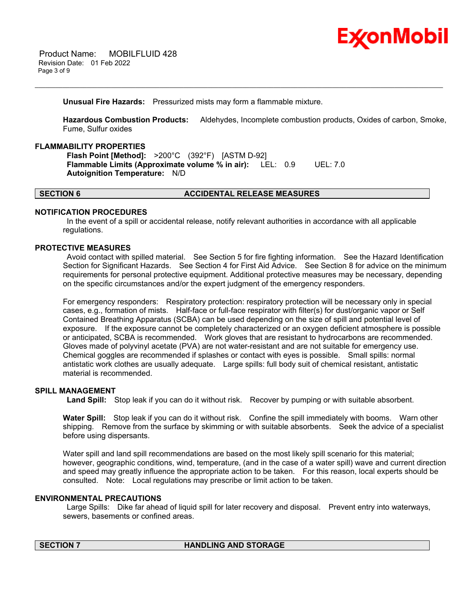

**Unusual Fire Hazards:** Pressurized mists may form a flammable mixture.

**Hazardous Combustion Products:** Aldehydes, Incomplete combustion products, Oxides of carbon, Smoke, Fume, Sulfur oxides

\_\_\_\_\_\_\_\_\_\_\_\_\_\_\_\_\_\_\_\_\_\_\_\_\_\_\_\_\_\_\_\_\_\_\_\_\_\_\_\_\_\_\_\_\_\_\_\_\_\_\_\_\_\_\_\_\_\_\_\_\_\_\_\_\_\_\_\_\_\_\_\_\_\_\_\_\_\_\_\_\_\_\_\_\_\_\_\_\_\_\_\_\_\_\_\_\_\_\_\_\_\_\_\_\_\_\_\_\_\_\_\_\_\_\_\_\_\_

# **FLAMMABILITY PROPERTIES**

**Flash Point [Method]:** >200°C (392°F) [ASTM D-92] **Flammable Limits (Approximate volume % in air):** LEL: 0.9 UEL: 7.0 **Autoignition Temperature:** N/D

# **SECTION 6 ACCIDENTAL RELEASE MEASURES**

# **NOTIFICATION PROCEDURES**

In the event of a spill or accidental release, notify relevant authorities in accordance with all applicable regulations.

### **PROTECTIVE MEASURES**

Avoid contact with spilled material. See Section 5 for fire fighting information. See the Hazard Identification Section for Significant Hazards. See Section 4 for First Aid Advice. See Section 8 for advice on the minimum requirements for personal protective equipment. Additional protective measures may be necessary, depending on the specific circumstances and/or the expert judgment of the emergency responders.

For emergency responders: Respiratory protection: respiratory protection will be necessary only in special cases, e.g., formation of mists. Half-face or full-face respirator with filter(s) for dust/organic vapor or Self Contained Breathing Apparatus (SCBA) can be used depending on the size of spill and potential level of exposure. If the exposure cannot be completely characterized or an oxygen deficient atmosphere is possible or anticipated, SCBA is recommended. Work gloves that are resistant to hydrocarbons are recommended. Gloves made of polyvinyl acetate (PVA) are not water-resistant and are not suitable for emergency use. Chemical goggles are recommended if splashes or contact with eyes is possible. Small spills: normal antistatic work clothes are usually adequate. Large spills: full body suit of chemical resistant, antistatic material is recommended.

# **SPILL MANAGEMENT**

**Land Spill:** Stop leak if you can do it without risk. Recover by pumping or with suitable absorbent.

**Water Spill:** Stop leak if you can do it without risk. Confine the spill immediately with booms. Warn other shipping. Remove from the surface by skimming or with suitable absorbents. Seek the advice of a specialist before using dispersants.

Water spill and land spill recommendations are based on the most likely spill scenario for this material; however, geographic conditions, wind, temperature, (and in the case of a water spill) wave and current direction and speed may greatly influence the appropriate action to be taken. For this reason, local experts should be consulted. Note: Local regulations may prescribe or limit action to be taken.

#### **ENVIRONMENTAL PRECAUTIONS**

Large Spills: Dike far ahead of liquid spill for later recovery and disposal. Prevent entry into waterways, sewers, basements or confined areas.

# **SECTION 7 HANDLING AND STORAGE**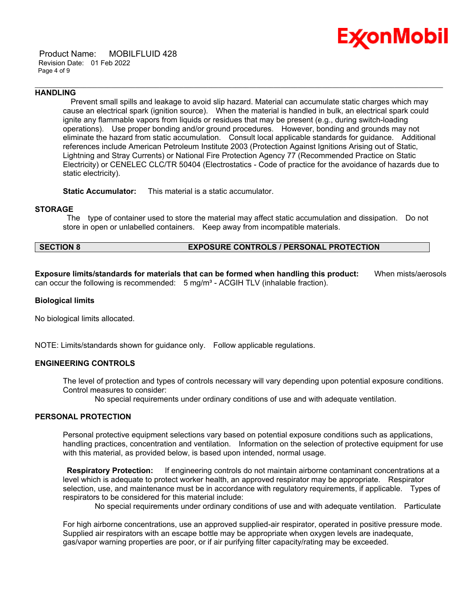

 Product Name: MOBILFLUID 428 Revision Date: 01 Feb 2022 Page 4 of 9

#### **HANDLING**

 Prevent small spills and leakage to avoid slip hazard. Material can accumulate static charges which may cause an electrical spark (ignition source). When the material is handled in bulk, an electrical spark could ignite any flammable vapors from liquids or residues that may be present (e.g., during switch-loading operations). Use proper bonding and/or ground procedures. However, bonding and grounds may not eliminate the hazard from static accumulation. Consult local applicable standards for guidance. Additional references include American Petroleum Institute 2003 (Protection Against Ignitions Arising out of Static, Lightning and Stray Currents) or National Fire Protection Agency 77 (Recommended Practice on Static Electricity) or CENELEC CLC/TR 50404 (Electrostatics - Code of practice for the avoidance of hazards due to static electricity).

\_\_\_\_\_\_\_\_\_\_\_\_\_\_\_\_\_\_\_\_\_\_\_\_\_\_\_\_\_\_\_\_\_\_\_\_\_\_\_\_\_\_\_\_\_\_\_\_\_\_\_\_\_\_\_\_\_\_\_\_\_\_\_\_\_\_\_\_\_\_\_\_\_\_\_\_\_\_\_\_\_\_\_\_\_\_\_\_\_\_\_\_\_\_\_\_\_\_\_\_\_\_\_\_\_\_\_\_\_\_\_\_\_\_\_\_\_\_

**Static Accumulator:** This material is a static accumulator.

### **STORAGE**

The type of container used to store the material may affect static accumulation and dissipation. Do not store in open or unlabelled containers. Keep away from incompatible materials.

# **SECTION 8 EXPOSURE CONTROLS / PERSONAL PROTECTION**

**Exposure limits/standards for materials that can be formed when handling this product:** When mists/aerosols can occur the following is recommended:  $5$  mg/m<sup>3</sup> - ACGIH TLV (inhalable fraction).

### **Biological limits**

No biological limits allocated.

NOTE: Limits/standards shown for guidance only. Follow applicable regulations.

#### **ENGINEERING CONTROLS**

The level of protection and types of controls necessary will vary depending upon potential exposure conditions. Control measures to consider:

No special requirements under ordinary conditions of use and with adequate ventilation.

#### **PERSONAL PROTECTION**

Personal protective equipment selections vary based on potential exposure conditions such as applications, handling practices, concentration and ventilation. Information on the selection of protective equipment for use with this material, as provided below, is based upon intended, normal usage.

**Respiratory Protection:** If engineering controls do not maintain airborne contaminant concentrations at a level which is adequate to protect worker health, an approved respirator may be appropriate. Respirator selection, use, and maintenance must be in accordance with regulatory requirements, if applicable. Types of respirators to be considered for this material include:

No special requirements under ordinary conditions of use and with adequate ventilation. Particulate

For high airborne concentrations, use an approved supplied-air respirator, operated in positive pressure mode. Supplied air respirators with an escape bottle may be appropriate when oxygen levels are inadequate, gas/vapor warning properties are poor, or if air purifying filter capacity/rating may be exceeded.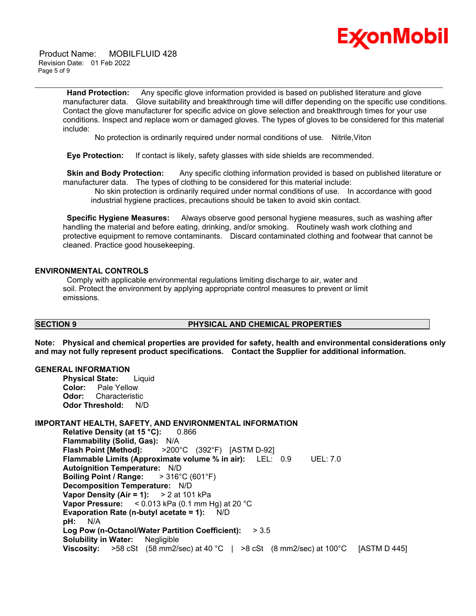

 Product Name: MOBILFLUID 428 Revision Date: 01 Feb 2022 Page 5 of 9

> **Hand Protection:** Any specific glove information provided is based on published literature and glove manufacturer data. Glove suitability and breakthrough time will differ depending on the specific use conditions. Contact the glove manufacturer for specific advice on glove selection and breakthrough times for your use conditions. Inspect and replace worn or damaged gloves. The types of gloves to be considered for this material include:

No protection is ordinarily required under normal conditions of use. Nitrile,Viton

\_\_\_\_\_\_\_\_\_\_\_\_\_\_\_\_\_\_\_\_\_\_\_\_\_\_\_\_\_\_\_\_\_\_\_\_\_\_\_\_\_\_\_\_\_\_\_\_\_\_\_\_\_\_\_\_\_\_\_\_\_\_\_\_\_\_\_\_\_\_\_\_\_\_\_\_\_\_\_\_\_\_\_\_\_\_\_\_\_\_\_\_\_\_\_\_\_\_\_\_\_\_\_\_\_\_\_\_\_\_\_\_\_\_\_\_\_\_

**Eye Protection:** If contact is likely, safety glasses with side shields are recommended.

**Skin and Body Protection:** Any specific clothing information provided is based on published literature or manufacturer data. The types of clothing to be considered for this material include:

No skin protection is ordinarily required under normal conditions of use. In accordance with good industrial hygiene practices, precautions should be taken to avoid skin contact.

**Specific Hygiene Measures:** Always observe good personal hygiene measures, such as washing after handling the material and before eating, drinking, and/or smoking. Routinely wash work clothing and protective equipment to remove contaminants. Discard contaminated clothing and footwear that cannot be cleaned. Practice good housekeeping.

### **ENVIRONMENTAL CONTROLS**

Comply with applicable environmental regulations limiting discharge to air, water and soil. Protect the environment by applying appropriate control measures to prevent or limit emissions.

#### **SECTION 9 PHYSICAL AND CHEMICAL PROPERTIES**

**Note: Physical and chemical properties are provided for safety, health and environmental considerations only and may not fully represent product specifications. Contact the Supplier for additional information.**

### **GENERAL INFORMATION**

**Physical State:** Liquid **Color:** Pale Yellow **Odor:** Characteristic **Odor Threshold:** N/D

# **IMPORTANT HEALTH, SAFETY, AND ENVIRONMENTAL INFORMATION**

**Relative Density (at 15 °C):** 0.866 **Flammability (Solid, Gas):** N/A **Flash Point [Method]:** >200°C (392°F) [ASTM D-92] **Flammable Limits (Approximate volume % in air):** LEL: 0.9 UEL: 7.0 **Autoignition Temperature:** N/D **Boiling Point / Range:** > 316°C (601°F) **Decomposition Temperature:** N/D **Vapor Density (Air = 1):** > 2 at 101 kPa **Vapor Pressure:** < 0.013 kPa (0.1 mm Hg) at 20 °C **Evaporation Rate (n-butyl acetate = 1):** N/D **pH:** N/A **Log Pow (n-Octanol/Water Partition Coefficient):** > 3.5 **Solubility in Water:** Negligible **Viscosity:** >58 cSt (58 mm2/sec) at 40 °C | >8 cSt (8 mm2/sec) at 100°C [ASTM D 445]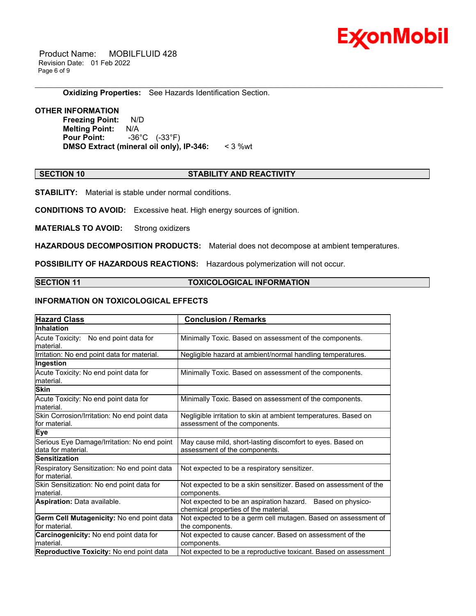

 Product Name: MOBILFLUID 428 Revision Date: 01 Feb 2022 Page 6 of 9

### **Oxidizing Properties:** See Hazards Identification Section.

# **OTHER INFORMATION**

**Freezing Point:** N/D **Melting Point:** N/A **Pour Point:** -36°C (-33°F) **DMSO Extract (mineral oil only), IP-346:** < 3 %wt

### **SECTION 10 STABILITY AND REACTIVITY**

\_\_\_\_\_\_\_\_\_\_\_\_\_\_\_\_\_\_\_\_\_\_\_\_\_\_\_\_\_\_\_\_\_\_\_\_\_\_\_\_\_\_\_\_\_\_\_\_\_\_\_\_\_\_\_\_\_\_\_\_\_\_\_\_\_\_\_\_\_\_\_\_\_\_\_\_\_\_\_\_\_\_\_\_\_\_\_\_\_\_\_\_\_\_\_\_\_\_\_\_\_\_\_\_\_\_\_\_\_\_\_\_\_\_\_\_\_\_

**STABILITY:** Material is stable under normal conditions.

**CONDITIONS TO AVOID:** Excessive heat. High energy sources of ignition.

**MATERIALS TO AVOID:** Strong oxidizers

**HAZARDOUS DECOMPOSITION PRODUCTS:** Material does not decompose at ambient temperatures.

**POSSIBILITY OF HAZARDOUS REACTIONS:** Hazardous polymerization will not occur.

### **SECTION 11 TOXICOLOGICAL INFORMATION**

# **INFORMATION ON TOXICOLOGICAL EFFECTS**

| <b>Hazard Class</b>                                               | <b>Conclusion / Remarks</b>                                                                        |  |  |
|-------------------------------------------------------------------|----------------------------------------------------------------------------------------------------|--|--|
| <b>Inhalation</b>                                                 |                                                                                                    |  |  |
| Acute Toxicity: No end point data for<br>material.                | Minimally Toxic. Based on assessment of the components.                                            |  |  |
| Irritation: No end point data for material.                       | Negligible hazard at ambient/normal handling temperatures.                                         |  |  |
| Ingestion                                                         |                                                                                                    |  |  |
| Acute Toxicity: No end point data for<br>material.                | Minimally Toxic. Based on assessment of the components.                                            |  |  |
| <b>Skin</b>                                                       |                                                                                                    |  |  |
| Acute Toxicity: No end point data for<br>material.                | Minimally Toxic. Based on assessment of the components.                                            |  |  |
| Skin Corrosion/Irritation: No end point data<br>for material.     | Negligible irritation to skin at ambient temperatures. Based on<br>assessment of the components.   |  |  |
| <b>Eye</b>                                                        |                                                                                                    |  |  |
| Serious Eye Damage/Irritation: No end point<br>data for material. | May cause mild, short-lasting discomfort to eyes. Based on<br>assessment of the components.        |  |  |
| <b>Sensitization</b>                                              |                                                                                                    |  |  |
| Respiratory Sensitization: No end point data<br>for material.     | Not expected to be a respiratory sensitizer.                                                       |  |  |
| Skin Sensitization: No end point data for<br>material.            | Not expected to be a skin sensitizer. Based on assessment of the<br>components.                    |  |  |
| <b>Aspiration: Data available.</b>                                | Not expected to be an aspiration hazard. Based on physico-<br>chemical properties of the material. |  |  |
| Germ Cell Mutagenicity: No end point data                         | Not expected to be a germ cell mutagen. Based on assessment of                                     |  |  |
| lfor material.                                                    | the components.                                                                                    |  |  |
| Carcinogenicity: No end point data for<br>material.               | Not expected to cause cancer. Based on assessment of the<br>components.                            |  |  |
| Reproductive Toxicity: No end point data                          | Not expected to be a reproductive toxicant. Based on assessment                                    |  |  |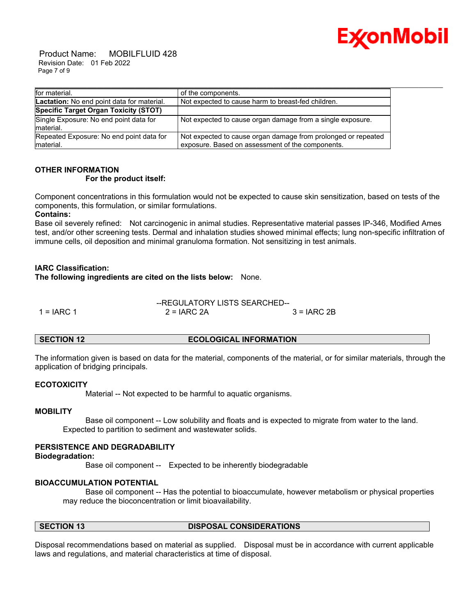

 Product Name: MOBILFLUID 428 Revision Date: 01 Feb 2022 Page 7 of 9

| for material.                                         | of the components.                                                                                                |
|-------------------------------------------------------|-------------------------------------------------------------------------------------------------------------------|
| <b>Lactation:</b> No end point data for material.     | Not expected to cause harm to breast-fed children.                                                                |
| Specific Target Organ Toxicity (STOT)                 |                                                                                                                   |
| Single Exposure: No end point data for<br>material.   | Not expected to cause organ damage from a single exposure.                                                        |
| Repeated Exposure: No end point data for<br>material. | Not expected to cause organ damage from prolonged or repeated<br>exposure. Based on assessment of the components. |

# **OTHER INFORMATION For the product itself:**

Component concentrations in this formulation would not be expected to cause skin sensitization, based on tests of the components, this formulation, or similar formulations.

### **Contains:**

Base oil severely refined: Not carcinogenic in animal studies. Representative material passes IP-346, Modified Ames test, and/or other screening tests. Dermal and inhalation studies showed minimal effects; lung non-specific infiltration of immune cells, oil deposition and minimal granuloma formation. Not sensitizing in test animals.

### **IARC Classification:**

**The following ingredients are cited on the lists below:** None.

--REGULATORY LISTS SEARCHED--  $1 = IARC 1$   $2 = IARC 2A$   $3 = IARC 2B$ 

#### **SECTION 12 ECOLOGICAL INFORMATION**

The information given is based on data for the material, components of the material, or for similar materials, through the application of bridging principals.

#### **ECOTOXICITY**

Material -- Not expected to be harmful to aquatic organisms.

### **MOBILITY**

 Base oil component -- Low solubility and floats and is expected to migrate from water to the land. Expected to partition to sediment and wastewater solids.

# **PERSISTENCE AND DEGRADABILITY**

#### **Biodegradation:**

Base oil component -- Expected to be inherently biodegradable

# **BIOACCUMULATION POTENTIAL**

 Base oil component -- Has the potential to bioaccumulate, however metabolism or physical properties may reduce the bioconcentration or limit bioavailability.

# **SECTION 13 DISPOSAL CONSIDERATIONS**

Disposal recommendations based on material as supplied. Disposal must be in accordance with current applicable laws and regulations, and material characteristics at time of disposal.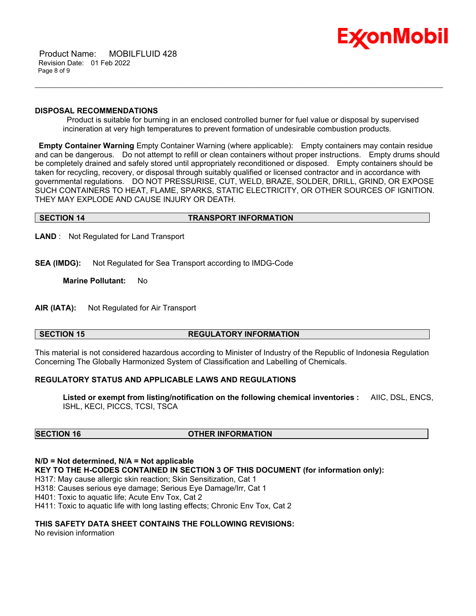

 Product Name: MOBILFLUID 428 Revision Date: 01 Feb 2022 Page 8 of 9

#### **DISPOSAL RECOMMENDATIONS**

Product is suitable for burning in an enclosed controlled burner for fuel value or disposal by supervised incineration at very high temperatures to prevent formation of undesirable combustion products.

\_\_\_\_\_\_\_\_\_\_\_\_\_\_\_\_\_\_\_\_\_\_\_\_\_\_\_\_\_\_\_\_\_\_\_\_\_\_\_\_\_\_\_\_\_\_\_\_\_\_\_\_\_\_\_\_\_\_\_\_\_\_\_\_\_\_\_\_\_\_\_\_\_\_\_\_\_\_\_\_\_\_\_\_\_\_\_\_\_\_\_\_\_\_\_\_\_\_\_\_\_\_\_\_\_\_\_\_\_\_\_\_\_\_\_\_\_\_

**Empty Container Warning** Empty Container Warning (where applicable): Empty containers may contain residue and can be dangerous. Do not attempt to refill or clean containers without proper instructions. Empty drums should be completely drained and safely stored until appropriately reconditioned or disposed. Empty containers should be taken for recycling, recovery, or disposal through suitably qualified or licensed contractor and in accordance with governmental regulations. DO NOT PRESSURISE, CUT, WELD, BRAZE, SOLDER, DRILL, GRIND, OR EXPOSE SUCH CONTAINERS TO HEAT, FLAME, SPARKS, STATIC ELECTRICITY, OR OTHER SOURCES OF IGNITION. THEY MAY EXPLODE AND CAUSE INJURY OR DEATH.

### **SECTION 14 TRANSPORT INFORMATION**

**LAND** : Not Regulated for Land Transport

**SEA (IMDG):** Not Regulated for Sea Transport according to IMDG-Code

**Marine Pollutant:** No

**AIR (IATA):** Not Regulated for Air Transport

# **SECTION 15 REGULATORY INFORMATION**

This material is not considered hazardous according to Minister of Industry of the Republic of Indonesia Regulation Concerning The Globally Harmonized System of Classification and Labelling of Chemicals.

# **REGULATORY STATUS AND APPLICABLE LAWS AND REGULATIONS**

**Listed or exempt from listing/notification on the following chemical inventories :** AIIC, DSL, ENCS, ISHL, KECI, PICCS, TCSI, TSCA

# **SECTION 16 OTHER INFORMATION**

**N/D = Not determined, N/A = Not applicable**

**KEY TO THE H-CODES CONTAINED IN SECTION 3 OF THIS DOCUMENT (for information only):**

H317: May cause allergic skin reaction; Skin Sensitization, Cat 1

H318: Causes serious eye damage; Serious Eye Damage/Irr, Cat 1

H401: Toxic to aquatic life; Acute Env Tox, Cat 2

H411: Toxic to aquatic life with long lasting effects; Chronic Env Tox, Cat 2

# **THIS SAFETY DATA SHEET CONTAINS THE FOLLOWING REVISIONS:**

No revision information